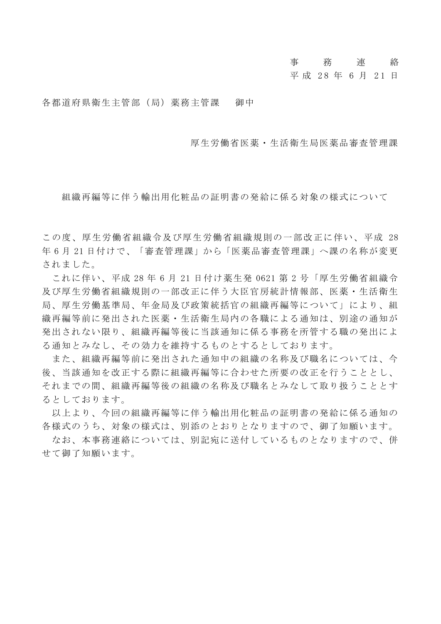## 事 務 連 絡

#### 平 成 28 年 6 月 21 日

各都道府県衛生主管部(局)薬務主管課 御中

厚生労働省医薬・生活衛生局医薬品審査管理課

組織再編等に伴う輸出用化粧品の証明書の発給に係る対象の様式について

この度、厚生労働省組織令及び厚生労働省組織規則の一部改正に伴い、平成 28 年 6 月 21 日付けで、「審査管理課」から「医薬品審査管理課」へ課の名称が変更 されました。

これに伴い、平成 28 年 6 月 21 日付け薬生発 0621 第 2 号「厚生労働省組織令 及び厚生労働省組織規則の一部改正に伴う大臣官房統計情報部、医薬・生活衛生 局、厚生労働基準局、年金局及び政策統括官の組織再編等について」により、組 織再編等前に発出された医薬・生活衛生局内の各職による通知は、別途の通知が 発出されない限り、組織再編等後に当該通知に係る事務を所管する職の発出によ る通知とみなし、その効力を維持するものとするとしております。

また、組織再編等前に発出された通知中の組織の名称及び職名については、今 後、当該通知を改正する際に組織再編等に合わせた所要の改正を行うこととし、 それまでの間、組織再編等後の組織の名称及び職名とみなして取り扱うこととす るとしております。

以上より、今回の組織再編等に伴う輸出用化粧品の証明書の発給に係る通知の 各様式のうち、対象の様式は、別添のとおりとなりますので、御了知願います。

なお、本事務連絡については、別記宛に送付しているものとなりますので、併 せて御了知願います。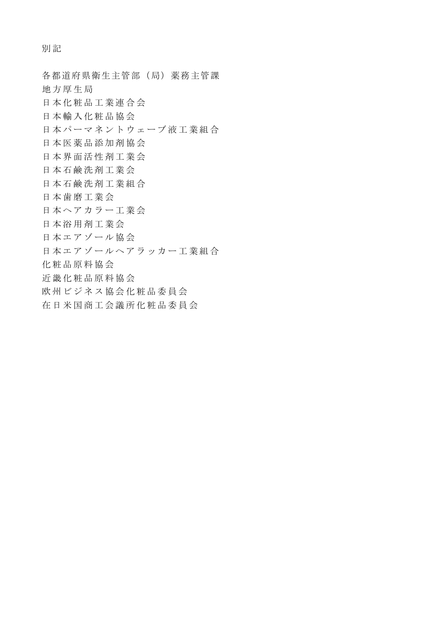別 記

各都道府県衛生主管部(局)薬務主管課 地 方 厚 生 局 日 本 化 粧 品 工 業 連 合 会 日 本 輸 入 化 粧 品 協 会 日本パーマネントウェーブ液工業組合 日 本 医 薬 品 添 加 剤 協 会 日 本 界 面 活 性 剤 工 業 会 日 本 石 鹸 洗 剤 工 業 会 日 本 石 鹸 洗 剤 工 業 組 合 日 本 歯 磨 工 業 会 日本ヘアカラー工業会 日 本 浴 用 剤 工 業 会 日本エアゾール協会 日本エアゾールヘアラッカー工業組合 化 粧 品 原 料 協 会 近 畿 化 粧 品 原 料 協 会 欧州ビジネス協会化粧品委員会 在 日 米 国 商 工 会 議 所 化 粧 品 委 員 会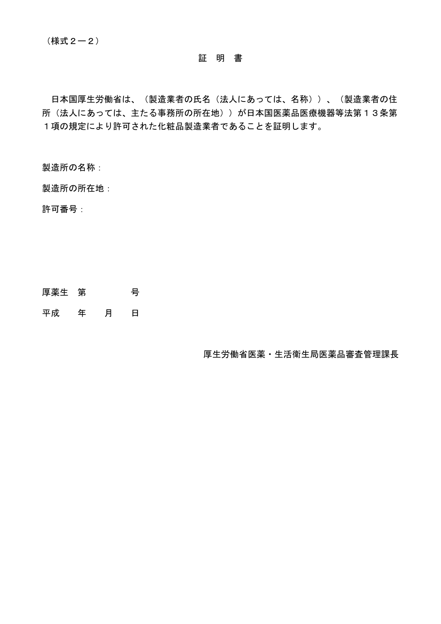### 証 明 書

日本国厚生労働省は、(製造業者の氏名(法人にあっては、名称))、(製造業者の住 所(法人にあっては、主たる事務所の所在地))が日本国医薬品医療機器等法第13条第 1項の規定により許可された化粧品製造業者であることを証明します。

製造所の名称:

製造所の所在地:

許可番号:

- 厚薬生 第 号
- 平成 年 月 日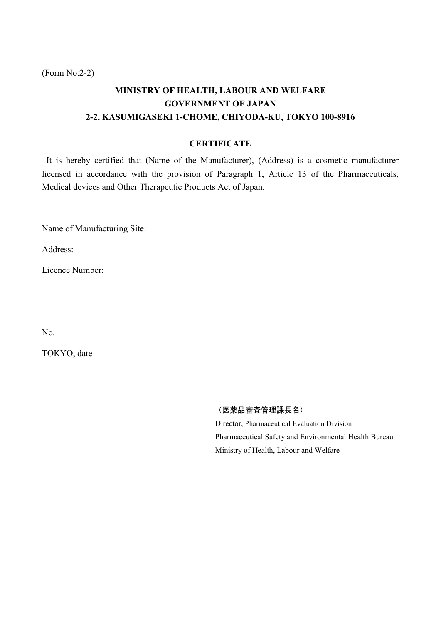(Form No.2-2)

# **MINISTRY OF HEALTH, LABOUR AND WELFARE GOVERNMENT OF JAPAN 2-2, KASUMIGASEKI 1-CHOME, CHIYODA-KU, TOKYO 100-8916**

### **CERTIFICATE**

It is hereby certified that (Name of the Manufacturer), (Address) is a cosmetic manufacturer licensed in accordance with the provision of Paragraph 1, Article 13 of the Pharmaceuticals, Medical devices and Other Therapeutic Products Act of Japan.

Name of Manufacturing Site:

Address:

Licence Number:

No.

TOKYO, date

(医薬品審査管理課長名)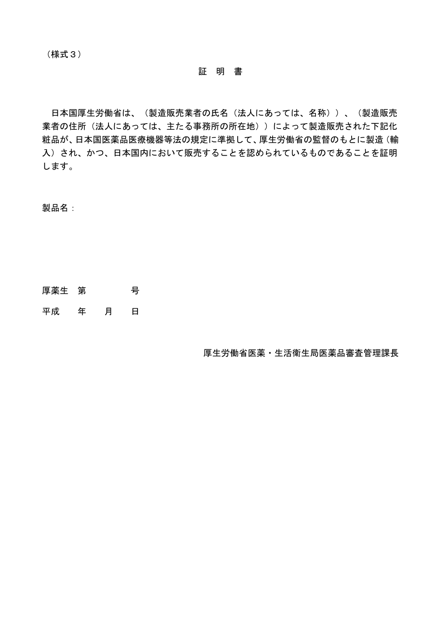(様式3)

#### 証 明 書

日本国厚生労働省は、(製造販売業者の氏名(法人にあっては、名称))、(製造販売 業者の住所(法人にあっては、主たる事務所の所在地))によって製造販売された下記化 粧品が、日本国医薬品医療機器等法の規定に準拠して、厚生労働省の監督のもとに製造(輸 入)され、かつ、日本国内において販売することを認められているものであることを証明 します。

製品名:

- 厚薬生 第 号
- 平成 年 月 日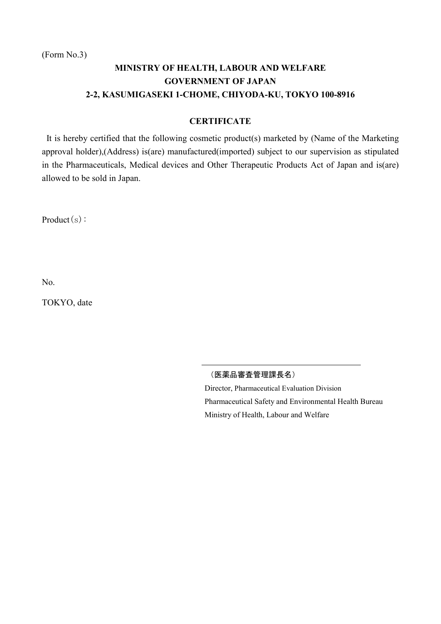(Form No.3)

# **MINISTRY OF HEALTH, LABOUR AND WELFARE GOVERNMENT OF JAPAN 2-2, KASUMIGASEKI 1-CHOME, CHIYODA-KU, TOKYO 100-8916**

## **CERTIFICATE**

It is hereby certified that the following cosmetic product(s) marketed by (Name of the Marketing approval holder),(Address) is(are) manufactured(imported) subject to our supervision as stipulated in the Pharmaceuticals, Medical devices and Other Therapeutic Products Act of Japan and is(are) allowed to be sold in Japan.

Product(s):

No.

TOKYO, date

(医薬品審査管理課長名)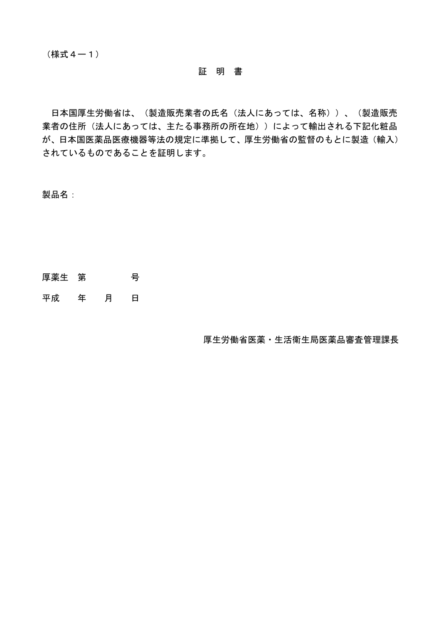#### 証 明 書

日本国厚生労働省は、(製造販売業者の氏名(法人にあっては、名称))、(製造販売 業者の住所(法人にあっては、主たる事務所の所在地))によって輸出される下記化粧品 が、日本国医薬品医療機器等法の規定に準拠して、厚生労働省の監督のもとに製造(輸入) されているものであることを証明します。

製品名:

厚薬生 第 号

平成 年 月 日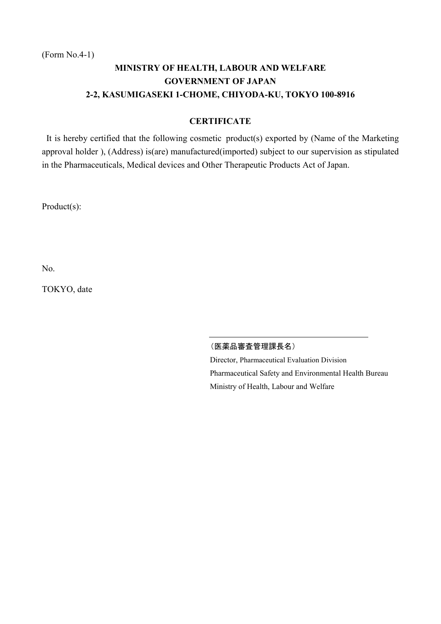# **MINISTRY OF HEALTH, LABOUR AND WELFARE GOVERNMENT OF JAPAN 2-2, KASUMIGASEKI 1-CHOME, CHIYODA-KU, TOKYO 100-8916**

### **CERTIFICATE**

It is hereby certified that the following cosmetic product(s) exported by (Name of the Marketing approval holder ), (Address) is(are) manufactured(imported) subject to our supervision as stipulated in the Pharmaceuticals, Medical devices and Other Therapeutic Products Act of Japan.

Product(s):

No.

TOKYO, date

#### (医薬品審査管理課長名)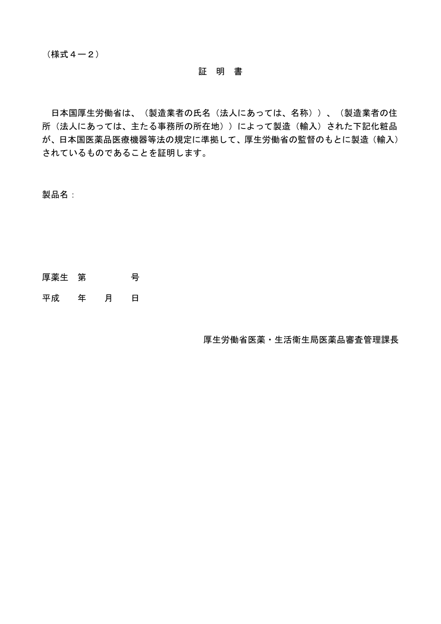#### 証 明 書

日本国厚生労働省は、(製造業者の氏名(法人にあっては、名称))、(製造業者の住 所(法人にあっては、主たる事務所の所在地))によって製造(輸入)された下記化粧品 が、日本国医薬品医療機器等法の規定に準拠して、厚生労働省の監督のもとに製造(輸入) されているものであることを証明します。

製品名:

厚薬生 第 号

平成 年 月 日